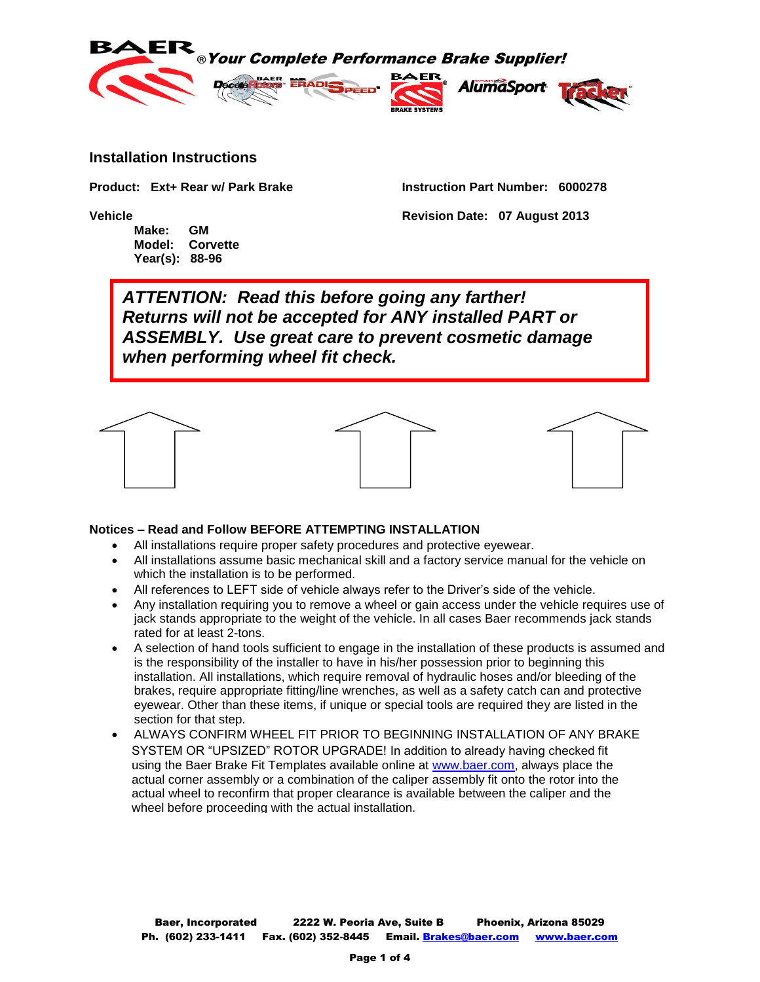

## **Installation Instructions**

**Product: Ext+ Rear w/ Park Brake Instruction Part Number: 6000278**

**Vehicle Revision Date: 07 August 2013**

**Make: GM Model: Corvette Year(s): 88-96**

*ATTENTION: Read this before going any farther! Returns will not be accepted for ANY installed PART or ASSEMBLY. Use great care to prevent cosmetic damage when performing wheel fit check.*



## **Notices – Read and Follow BEFORE ATTEMPTING INSTALLATION**

- All installations require proper safety procedures and protective eyewear.
- All installations assume basic mechanical skill and a factory service manual for the vehicle on which the installation is to be performed.
- All references to LEFT side of vehicle always refer to the Driver's side of the vehicle.
- Any installation requiring you to remove a wheel or gain access under the vehicle requires use of jack stands appropriate to the weight of the vehicle. In all cases Baer recommends jack stands rated for at least 2-tons.
- A selection of hand tools sufficient to engage in the installation of these products is assumed and is the responsibility of the installer to have in his/her possession prior to beginning this installation. All installations, which require removal of hydraulic hoses and/or bleeding of the brakes, require appropriate fitting/line wrenches, as well as a safety catch can and protective eyewear. Other than these items, if unique or special tools are required they are listed in the section for that step.
- ALWAYS CONFIRM WHEEL FIT PRIOR TO BEGINNING INSTALLATION OF ANY BRAKE SYSTEM OR "UPSIZED" ROTOR UPGRADE! In addition to already having checked fit using the Baer Brake Fit Templates available online at [www.baer.com,](http://www.baer.com/) always place the actual corner assembly or a combination of the caliper assembly fit onto the rotor into the actual wheel to reconfirm that proper clearance is available between the caliper and the wheel before proceeding with the actual installation.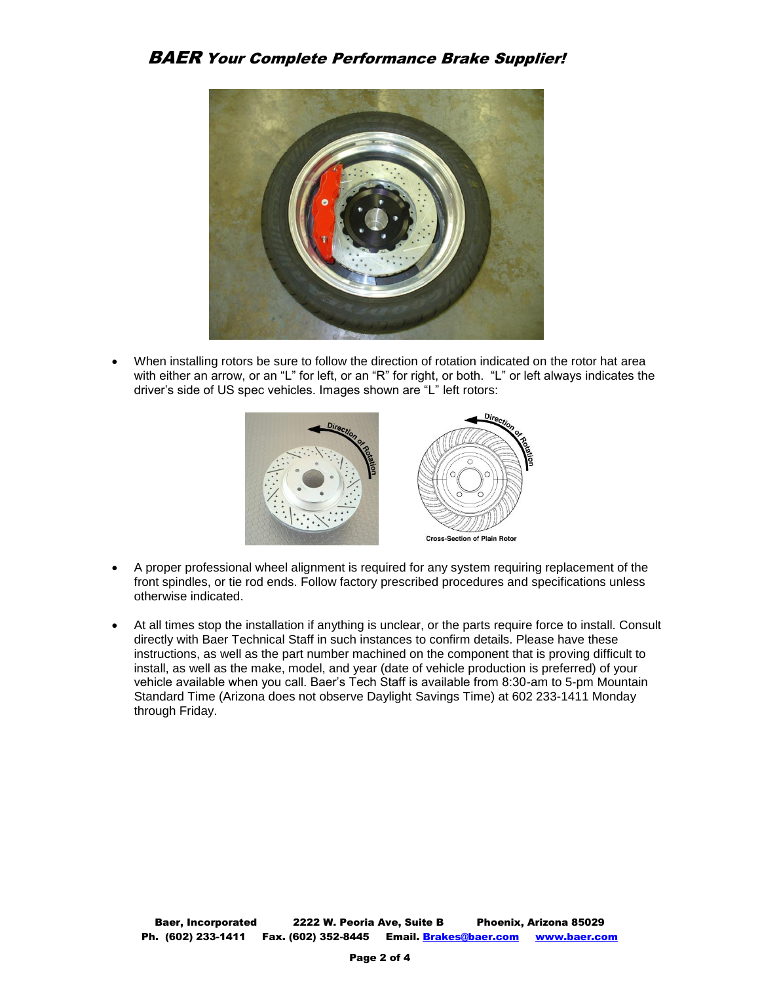BAER Your Complete Performance Brake Supplier!



 When installing rotors be sure to follow the direction of rotation indicated on the rotor hat area with either an arrow, or an "L" for left, or an "R" for right, or both. "L" or left always indicates the driver's side of US spec vehicles. Images shown are "L" left rotors:



- A proper professional wheel alignment is required for any system requiring replacement of the front spindles, or tie rod ends. Follow factory prescribed procedures and specifications unless otherwise indicated.
- At all times stop the installation if anything is unclear, or the parts require force to install. Consult directly with Baer Technical Staff in such instances to confirm details. Please have these instructions, as well as the part number machined on the component that is proving difficult to install, as well as the make, model, and year (date of vehicle production is preferred) of your vehicle available when you call. Baer's Tech Staff is available from 8:30-am to 5-pm Mountain Standard Time (Arizona does not observe Daylight Savings Time) at 602 233-1411 Monday through Friday.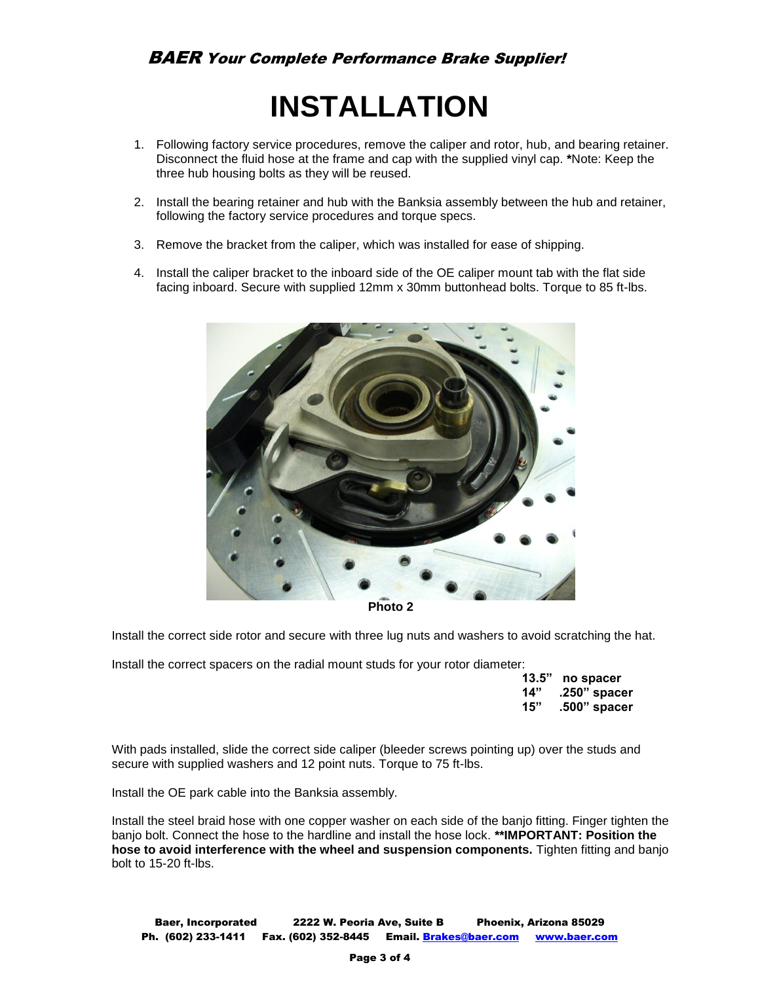## **INSTALLATION**

- 1. Following factory service procedures, remove the caliper and rotor, hub, and bearing retainer. Disconnect the fluid hose at the frame and cap with the supplied vinyl cap. **\***Note: Keep the three hub housing bolts as they will be reused.
- 2. Install the bearing retainer and hub with the Banksia assembly between the hub and retainer, following the factory service procedures and torque specs.
- 3. Remove the bracket from the caliper, which was installed for ease of shipping.
- 4. Install the caliper bracket to the inboard side of the OE caliper mount tab with the flat side facing inboard. Secure with supplied 12mm x 30mm buttonhead bolts. Torque to 85 ft-lbs.



**Photo 2**

Install the correct side rotor and secure with three lug nuts and washers to avoid scratching the hat.

Install the correct spacers on the radial mount studs for your rotor diameter:

|     | 13.5" no spacer  |
|-----|------------------|
|     | 14" .250" spacer |
| 15" | .500" spacer     |

With pads installed, slide the correct side caliper (bleeder screws pointing up) over the studs and secure with supplied washers and 12 point nuts. Torque to 75 ft-lbs.

Install the OE park cable into the Banksia assembly.

Install the steel braid hose with one copper washer on each side of the banjo fitting. Finger tighten the banjo bolt. Connect the hose to the hardline and install the hose lock. **\*\*IMPORTANT: Position the hose to avoid interference with the wheel and suspension components.** Tighten fitting and banjo bolt to 15-20 ft-lbs.